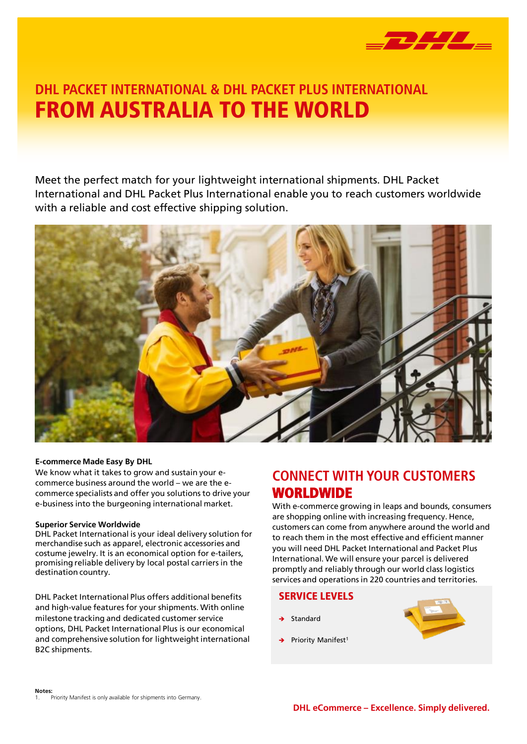

## FROM AUSTRALIA TO THE WORLD DHL PACKET INTERNATIONAL & DHL PACKET PLUS INTERNATIONAL

Meet the perfect match for your lightweight international shipments. DHL Packet International and DHL Packet Plus International enable you to reach customers worldwide with a reliable and cost effective shipping solution.



### **E-commerce Made Easy By DHL**

We know what it takes to grow and sustain your ecommerce business around the world – we are the ecommerce specialists and offer you solutions to drive your e-business into the burgeoning international market.

### **Superior Service Worldwide**

DHL Packet International is your ideal delivery solution for merchandise such as apparel, electronic accessories and costume jewelry. It is an economical option for e-tailers, promising reliable delivery by local postal carriers in the destination country.

DHL Packet International Plus offers additional benefits and high-value features for your shipments. With online milestone tracking and dedicated customer service options, DHL Packet International Plus is our economical and comprehensive solution for lightweight international B2C shipments.

### CONNECT WITH YOUR CUSTOMERS WORLDWIDE

With e-commerce growing in leaps and bounds, consumers are shopping online with increasing frequency. Hence, customers can come from anywhere around the world and to reach them in the most effective and efficient manner you will need DHL Packet International and Packet Plus International. We will ensure your parcel is delivered promptly and reliably through our world class logistics services and operations in 220 countries and territories.

### SERVICE LEVELS

- Standard
- Priority Manifest<sup>1</sup>